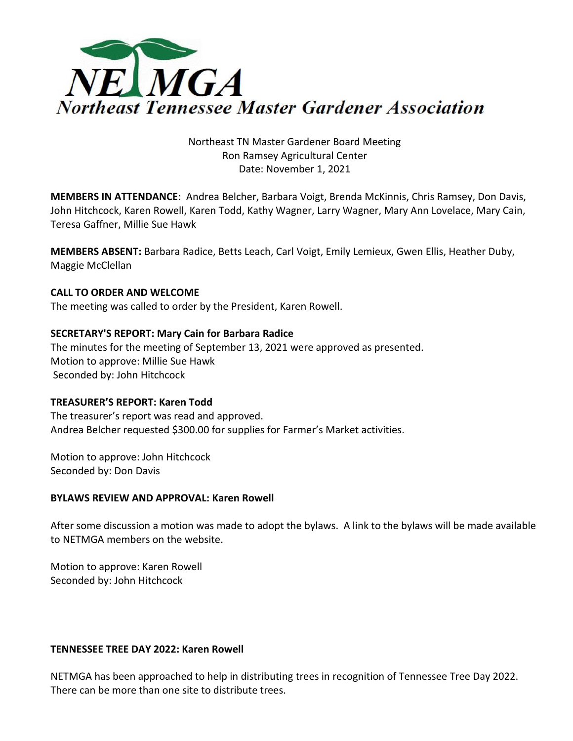

# Northeast TN Master Gardener Board Meeting Ron Ramsey Agricultural Center Date: November 1, 2021

**MEMBERS IN ATTENDANCE**: Andrea Belcher, Barbara Voigt, Brenda McKinnis, Chris Ramsey, Don Davis, John Hitchcock, Karen Rowell, Karen Todd, Kathy Wagner, Larry Wagner, Mary Ann Lovelace, Mary Cain, Teresa Gaffner, Millie Sue Hawk

**MEMBERS ABSENT:** Barbara Radice, Betts Leach, Carl Voigt, Emily Lemieux, Gwen Ellis, Heather Duby, Maggie McClellan

# **CALL TO ORDER AND WELCOME**

The meeting was called to order by the President, Karen Rowell.

### **SECRETARY'S REPORT: Mary Cain for Barbara Radice**

The minutes for the meeting of September 13, 2021 were approved as presented. Motion to approve: Millie Sue Hawk Seconded by: John Hitchcock

### **TREASURER'S REPORT: Karen Todd**

The treasurer's report was read and approved. Andrea Belcher requested \$300.00 for supplies for Farmer's Market activities.

Motion to approve: John Hitchcock Seconded by: Don Davis

### **BYLAWS REVIEW AND APPROVAL: Karen Rowell**

After some discussion a motion was made to adopt the bylaws. A link to the bylaws will be made available to NETMGA members on the website.

Motion to approve: Karen Rowell Seconded by: John Hitchcock

### **TENNESSEE TREE DAY 2022: Karen Rowell**

NETMGA has been approached to help in distributing trees in recognition of Tennessee Tree Day 2022. There can be more than one site to distribute trees.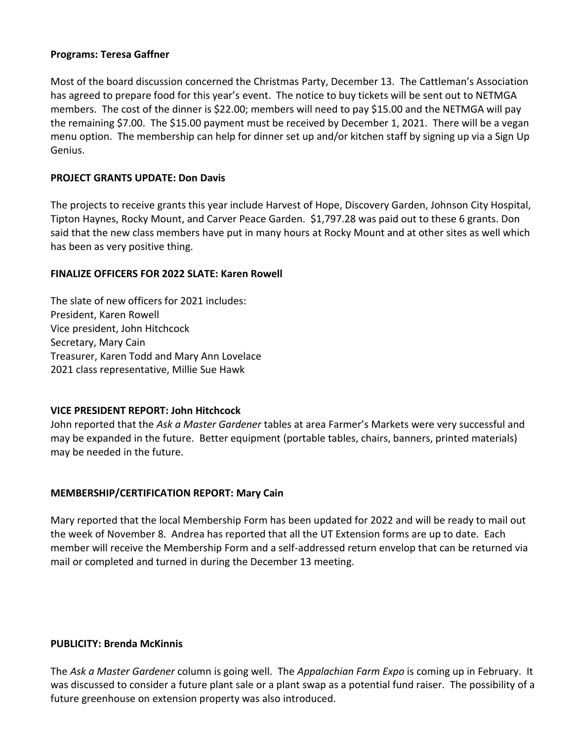### **Programs: Teresa Gaffner**

Most of the board discussion concerned the Christmas Party, December 13. The Cattleman's Association has agreed to prepare food for this year's event. The notice to buy tickets will be sent out to NETMGA members. The cost of the dinner is \$22.00; members will need to pay \$15.00 and the NETMGA will pay the remaining \$7.00. The \$15.00 payment must be received by December 1, 2021. There will be a vegan menu option. The membership can help for dinner set up and/or kitchen staff by signing up via a Sign Up Genius.

### **PROJECT GRANTS UPDATE: Don Davis**

The projects to receive grants this year include Harvest of Hope, Discovery Garden, Johnson City Hospital, Tipton Haynes, Rocky Mount, and Carver Peace Garden. \$1,797.28 was paid out to these 6 grants. Don said that the new class members have put in many hours at Rocky Mount and at other sites as well which has been as very positive thing.

#### **FINALIZE OFFICERS FOR 2022 SLATE: Karen Rowell**

The slate of new officers for 2021 includes: President, Karen Rowell Vice president, John Hitchcock Secretary, Mary Cain Treasurer, Karen Todd and Mary Ann Lovelace 2021 class representative, Millie Sue Hawk

### **VICE PRESIDENT REPORT: John Hitchcock**

John reported that the *Ask a Master Gardener* tables at area Farmer's Markets were very successful and may be expanded in the future. Better equipment (portable tables, chairs, banners, printed materials) may be needed in the future.

### **MEMBERSHIP/CERTIFICATION REPORT: Mary Cain**

Mary reported that the local Membership Form has been updated for 2022 and will be ready to mail out the week of November 8. Andrea has reported that all the UT Extension forms are up to date. Each member will receive the Membership Form and a self-addressed return envelop that can be returned via mail or completed and turned in during the December 13 meeting.

#### **PUBLICITY: Brenda McKinnis**

The *Ask a Master Gardener* column is going well. The *Appalachian Farm Expo* is coming up in February. It was discussed to consider a future plant sale or a plant swap as a potential fund raiser. The possibility of a future greenhouse on extension property was also introduced.